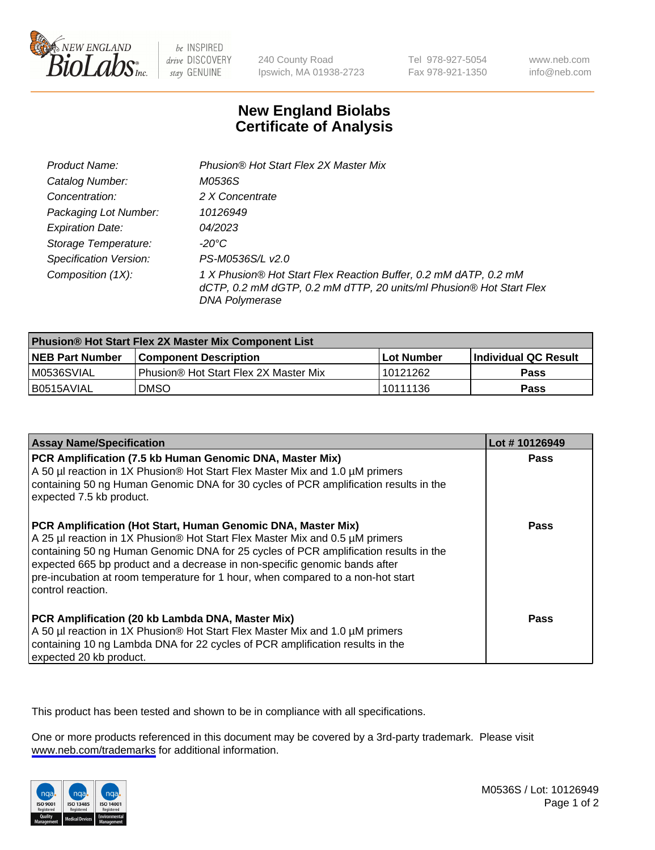

be INSPIRED drive DISCOVERY stay GENUINE

240 County Road Ipswich, MA 01938-2723 Tel 978-927-5054 Fax 978-921-1350

www.neb.com info@neb.com

## **New England Biolabs Certificate of Analysis**

| Product Name:                 | Phusion® Hot Start Flex 2X Master Mix                                                                                                                     |
|-------------------------------|-----------------------------------------------------------------------------------------------------------------------------------------------------------|
| Catalog Number:               | M0536S                                                                                                                                                    |
| Concentration:                | 2 X Concentrate                                                                                                                                           |
| Packaging Lot Number:         | 10126949                                                                                                                                                  |
| <b>Expiration Date:</b>       | 04/2023                                                                                                                                                   |
| Storage Temperature:          | -20°C                                                                                                                                                     |
| <b>Specification Version:</b> | PS-M0536S/L v2.0                                                                                                                                          |
| Composition (1X):             | 1 X Phusion® Hot Start Flex Reaction Buffer, 0.2 mM dATP, 0.2 mM<br>dCTP, 0.2 mM dGTP, 0.2 mM dTTP, 20 units/ml Phusion® Hot Start Flex<br>DNA Polymerase |

| Phusion® Hot Start Flex 2X Master Mix Component List |                                       |              |                             |  |
|------------------------------------------------------|---------------------------------------|--------------|-----------------------------|--|
| <b>NEB Part Number</b>                               | <b>Component Description</b>          | l Lot Number | <b>Individual QC Result</b> |  |
| M0536SVIAL                                           | Phusion® Hot Start Flex 2X Master Mix | 10121262     | Pass                        |  |
| I B0515AVIAL                                         | <b>DMSO</b>                           | 10111136     | <b>Pass</b>                 |  |

| <b>Assay Name/Specification</b>                                                                                                                                                                                                                                                                                                                                                                                            | Lot #10126949 |
|----------------------------------------------------------------------------------------------------------------------------------------------------------------------------------------------------------------------------------------------------------------------------------------------------------------------------------------------------------------------------------------------------------------------------|---------------|
| PCR Amplification (7.5 kb Human Genomic DNA, Master Mix)<br>A 50 µl reaction in 1X Phusion® Hot Start Flex Master Mix and 1.0 µM primers<br>containing 50 ng Human Genomic DNA for 30 cycles of PCR amplification results in the<br>expected 7.5 kb product.                                                                                                                                                               | Pass          |
| PCR Amplification (Hot Start, Human Genomic DNA, Master Mix)<br>A 25 µl reaction in 1X Phusion® Hot Start Flex Master Mix and 0.5 µM primers<br>containing 50 ng Human Genomic DNA for 25 cycles of PCR amplification results in the<br>expected 665 bp product and a decrease in non-specific genomic bands after<br>pre-incubation at room temperature for 1 hour, when compared to a non-hot start<br>control reaction. | <b>Pass</b>   |
| PCR Amplification (20 kb Lambda DNA, Master Mix)<br>A 50 µl reaction in 1X Phusion® Hot Start Flex Master Mix and 1.0 µM primers<br>containing 10 ng Lambda DNA for 22 cycles of PCR amplification results in the<br>expected 20 kb product.                                                                                                                                                                               | Pass          |

This product has been tested and shown to be in compliance with all specifications.

One or more products referenced in this document may be covered by a 3rd-party trademark. Please visit <www.neb.com/trademarks>for additional information.